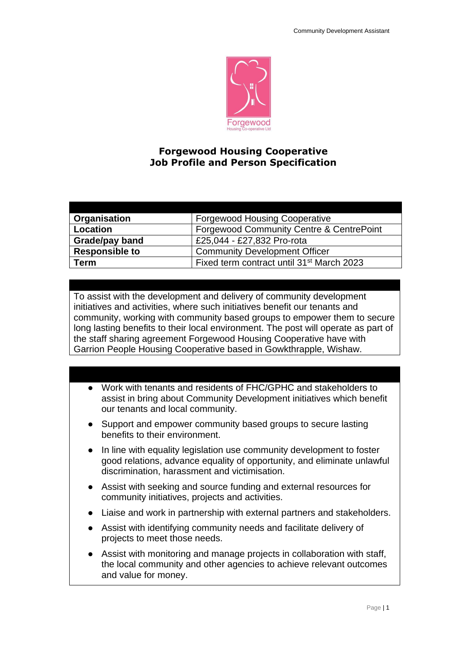

## **Forgewood Housing Cooperative Job Profile and Person Specification**

| Organisation          | <b>Forgewood Housing Cooperative</b>                  |
|-----------------------|-------------------------------------------------------|
| Location              | Forgewood Community Centre & CentrePoint              |
| Grade/pay band        | £25,044 - £27,832 Pro-rota                            |
| <b>Responsible to</b> | <b>Community Development Officer</b>                  |
| Term                  | Fixed term contract until 31 <sup>st</sup> March 2023 |

To assist with the development and delivery of community development initiatives and activities, where such initiatives benefit our tenants and community, working with community based groups to empower them to secure long lasting benefits to their local environment. The post will operate as part of the staff sharing agreement Forgewood Housing Cooperative have with Garrion People Housing Cooperative based in Gowkthrapple, Wishaw.

## ● Work with tenants and residents of FHC/GPHC and stakeholders to assist in bring about Community Development initiatives which benefit our tenants and local community.

- Support and empower community based groups to secure lasting benefits to their environment.
- In line with equality legislation use community development to foster good relations, advance equality of opportunity, and eliminate unlawful discrimination, harassment and victimisation.
- Assist with seeking and source funding and external resources for community initiatives, projects and activities.
- Liaise and work in partnership with external partners and stakeholders.
- Assist with identifying community needs and facilitate delivery of projects to meet those needs.
- Assist with monitoring and manage projects in collaboration with staff, the local community and other agencies to achieve relevant outcomes and value for money.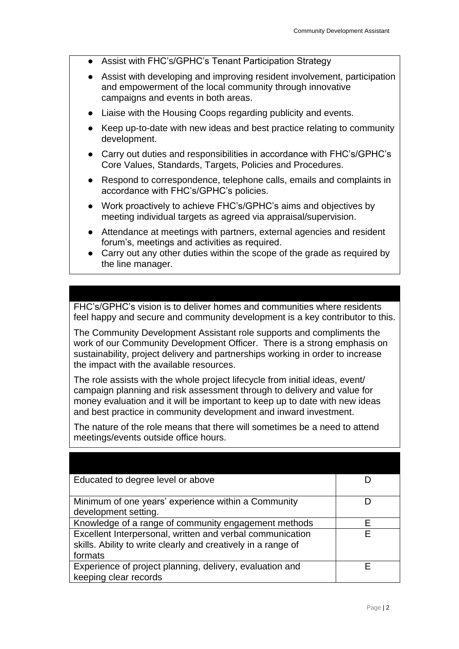- Assist with FHC's/GPHC's Tenant Participation Strategy
- Assist with developing and improving resident involvement, participation and empowerment of the local community through innovative campaigns and events in both areas.
- Liaise with the Housing Coops regarding publicity and events.
- Keep up-to-date with new ideas and best practice relating to community development.
- Carry out duties and responsibilities in accordance with FHC's/GPHC's Core Values, Standards, Targets, Policies and Procedures.
- Respond to correspondence, telephone calls, emails and complaints in accordance with FHC's/GPHC's policies.
- Work proactively to achieve FHC's/GPHC's aims and objectives by meeting individual targets as agreed via appraisal/supervision.
- Attendance at meetings with partners, external agencies and resident forum's, meetings and activities as required.
- Carry out any other duties within the scope of the grade as required by the line manager.

FHC's/GPHC's vision is to deliver homes and communities where residents feel happy and secure and community development is a key contributor to this.

The Community Development Assistant role supports and compliments the work of our Community Development Officer. There is a strong emphasis on sustainability, project delivery and partnerships working in order to increase the impact with the available resources.

The role assists with the whole project lifecycle from initial ideas, event/ campaign planning and risk assessment through to delivery and value for money evaluation and it will be important to keep up to date with new ideas and best practice in community development and inward investment.

The nature of the role means that there will sometimes be a need to attend meetings/events outside office hours.

| Educated to degree level or above                                                                                                     |   |
|---------------------------------------------------------------------------------------------------------------------------------------|---|
| Minimum of one years' experience within a Community<br>development setting.                                                           |   |
| Knowledge of a range of community engagement methods                                                                                  | F |
| Excellent Interpersonal, written and verbal communication<br>skills. Ability to write clearly and creatively in a range of<br>formats | F |
| Experience of project planning, delivery, evaluation and<br>keeping clear records                                                     | F |